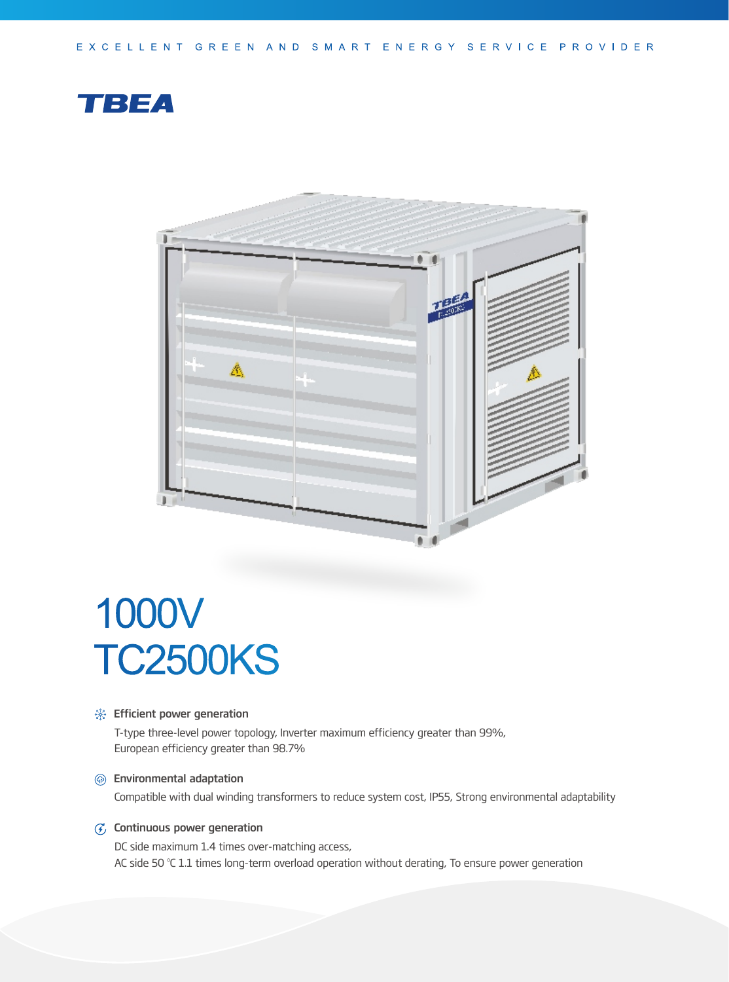



# 1000V TC2500KS

#### **Section** Efficient power generation

T-type three-level power topology, Inverter maximum efficiency greater than 99%, European efficiency greater than 98.7%

#### Environmental adaptation

Compatible with dual winding transformers to reduce system cost, IP55, Strong environmental adaptability

## $G$  Continuous power generation

DC side maximum 1.4 times over-matching access, AC side 50 °C 1.1 times long-term overload operation without derating, To ensure power generation